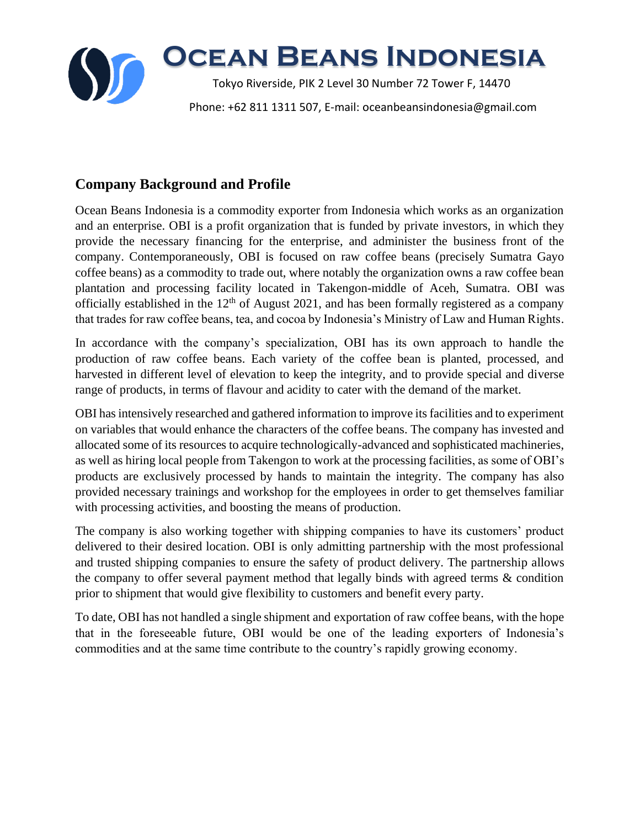

# **Company Background and Profile**

Ocean Beans Indonesia is a commodity exporter from Indonesia which works as an organization and an enterprise. OBI is a profit organization that is funded by private investors, in which they provide the necessary financing for the enterprise, and administer the business front of the company. Contemporaneously, OBI is focused on raw coffee beans (precisely Sumatra Gayo coffee beans) as a commodity to trade out, where notably the organization owns a raw coffee bean plantation and processing facility located in Takengon-middle of Aceh, Sumatra. OBI was officially established in the  $12<sup>th</sup>$  of August 2021, and has been formally registered as a company that trades for raw coffee beans, tea, and cocoa by Indonesia's Ministry of Law and Human Rights.

In accordance with the company's specialization, OBI has its own approach to handle the production of raw coffee beans. Each variety of the coffee bean is planted, processed, and harvested in different level of elevation to keep the integrity, and to provide special and diverse range of products, in terms of flavour and acidity to cater with the demand of the market.

OBI has intensively researched and gathered information to improve its facilities and to experiment on variables that would enhance the characters of the coffee beans. The company has invested and allocated some of its resources to acquire technologically-advanced and sophisticated machineries, as well as hiring local people from Takengon to work at the processing facilities, as some of OBI's products are exclusively processed by hands to maintain the integrity. The company has also provided necessary trainings and workshop for the employees in order to get themselves familiar with processing activities, and boosting the means of production.

The company is also working together with shipping companies to have its customers' product delivered to their desired location. OBI is only admitting partnership with the most professional and trusted shipping companies to ensure the safety of product delivery. The partnership allows the company to offer several payment method that legally binds with agreed terms & condition prior to shipment that would give flexibility to customers and benefit every party.

To date, OBI has not handled a single shipment and exportation of raw coffee beans, with the hope that in the foreseeable future, OBI would be one of the leading exporters of Indonesia's commodities and at the same time contribute to the country's rapidly growing economy.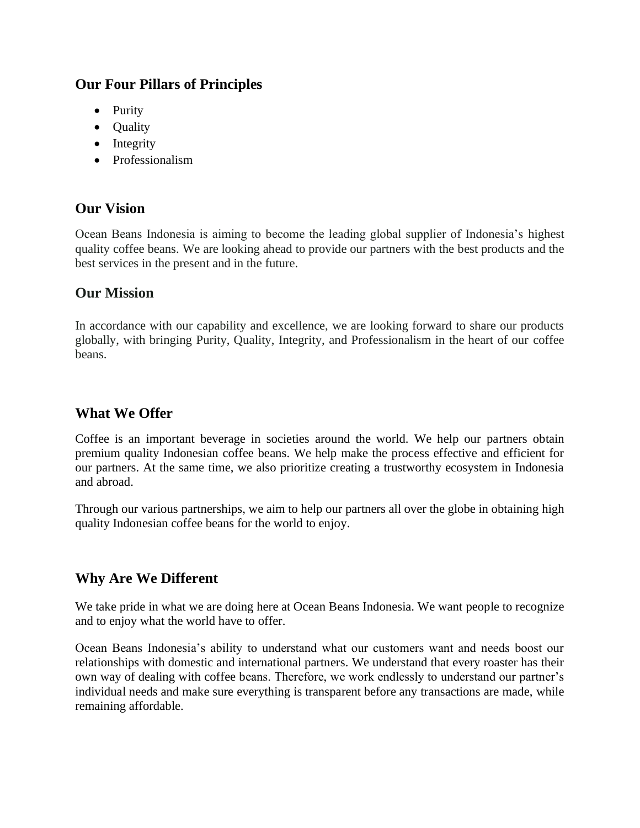## **Our Four Pillars of Principles**

- Purity
- Ouality
- Integrity
- Professionalism

## **Our Vision**

Ocean Beans Indonesia is aiming to become the leading global supplier of Indonesia's highest quality coffee beans. We are looking ahead to provide our partners with the best products and the best services in the present and in the future.

#### **Our Mission**

In accordance with our capability and excellence, we are looking forward to share our products globally, with bringing Purity, Quality, Integrity, and Professionalism in the heart of our coffee beans.

#### **What We Offer**

Coffee is an important beverage in societies around the world. We help our partners obtain premium quality Indonesian coffee beans. We help make the process effective and efficient for our partners. At the same time, we also prioritize creating a trustworthy ecosystem in Indonesia and abroad.

Through our various partnerships, we aim to help our partners all over the globe in obtaining high quality Indonesian coffee beans for the world to enjoy.

## **Why Are We Different**

We take pride in what we are doing here at Ocean Beans Indonesia. We want people to recognize and to enjoy what the world have to offer.

Ocean Beans Indonesia's ability to understand what our customers want and needs boost our relationships with domestic and international partners. We understand that every roaster has their own way of dealing with coffee beans. Therefore, we work endlessly to understand our partner's individual needs and make sure everything is transparent before any transactions are made, while remaining affordable.